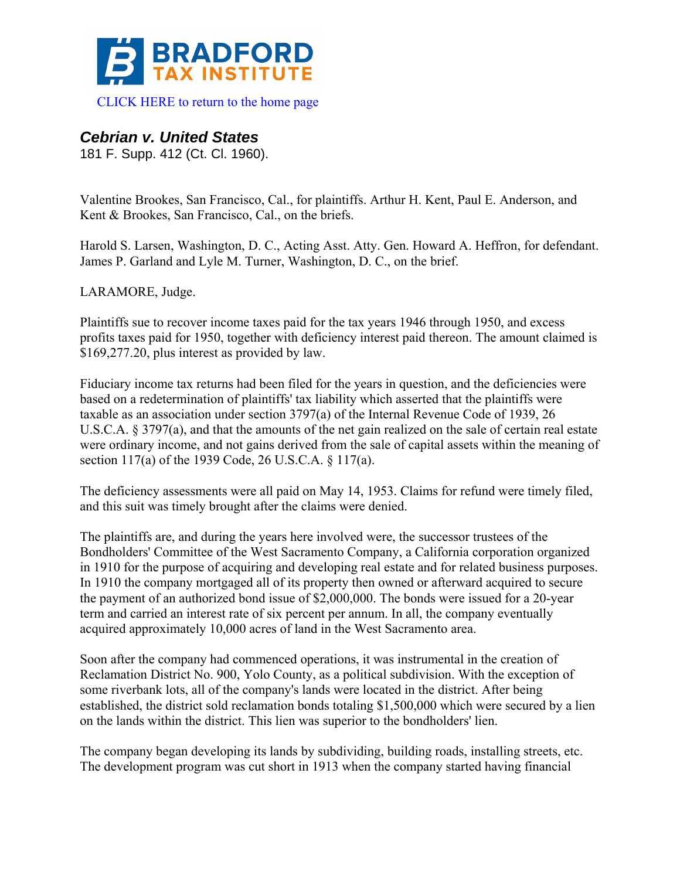

[CLICK HERE to return to the home page](http://www.bradfordtaxinstitute.com/) 

## *Cebrian v. United States*

181 F. Supp. 412 (Ct. Cl. 1960).

Valentine Brookes, San Francisco, Cal., for plaintiffs. Arthur H. Kent, Paul E. Anderson, and Kent & Brookes, San Francisco, Cal., on the briefs.

Harold S. Larsen, Washington, D. C., Acting Asst. Atty. Gen. Howard A. Heffron, for defendant. James P. Garland and Lyle M. Turner, Washington, D. C., on the brief.

LARAMORE, Judge.

Plaintiffs sue to recover income taxes paid for the tax years 1946 through 1950, and excess profits taxes paid for 1950, together with deficiency interest paid thereon. The amount claimed is \$169,277.20, plus interest as provided by law.

Fiduciary income tax returns had been filed for the years in question, and the deficiencies were based on a redetermination of plaintiffs' tax liability which asserted that the plaintiffs were taxable as an association under section 3797(a) of the Internal Revenue Code of 1939, 26 U.S.C.A. § 3797(a), and that the amounts of the net gain realized on the sale of certain real estate were ordinary income, and not gains derived from the sale of capital assets within the meaning of section 117(a) of the 1939 Code, 26 U.S.C.A. § 117(a).

The deficiency assessments were all paid on May 14, 1953. Claims for refund were timely filed, and this suit was timely brought after the claims were denied.

The plaintiffs are, and during the years here involved were, the successor trustees of the Bondholders' Committee of the West Sacramento Company, a California corporation organized in 1910 for the purpose of acquiring and developing real estate and for related business purposes. In 1910 the company mortgaged all of its property then owned or afterward acquired to secure the payment of an authorized bond issue of \$2,000,000. The bonds were issued for a 20-year term and carried an interest rate of six percent per annum. In all, the company eventually acquired approximately 10,000 acres of land in the West Sacramento area.

Soon after the company had commenced operations, it was instrumental in the creation of Reclamation District No. 900, Yolo County, as a political subdivision. With the exception of some riverbank lots, all of the company's lands were located in the district. After being established, the district sold reclamation bonds totaling \$1,500,000 which were secured by a lien on the lands within the district. This lien was superior to the bondholders' lien.

The company began developing its lands by subdividing, building roads, installing streets, etc. The development program was cut short in 1913 when the company started having financial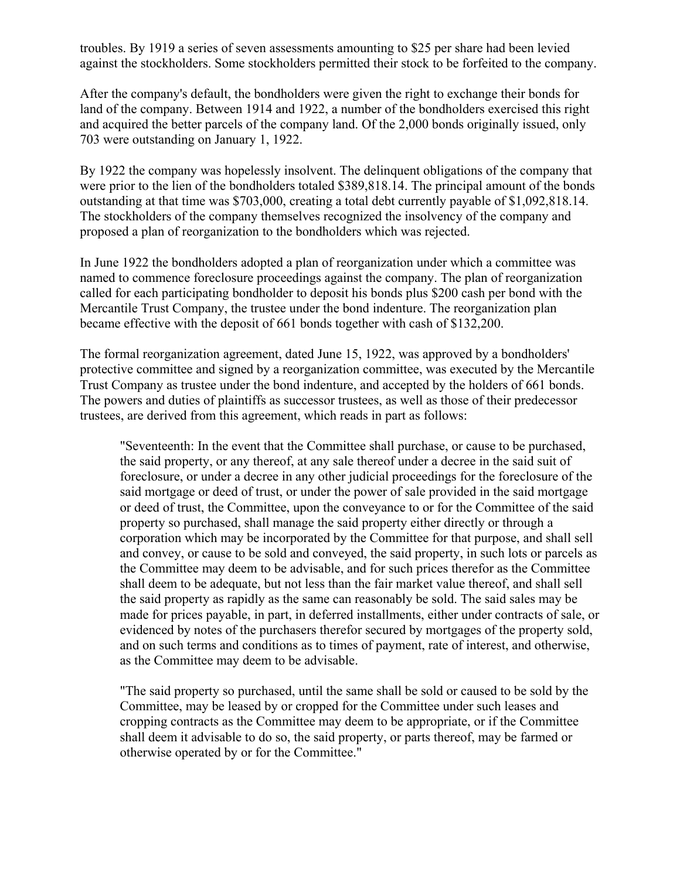troubles. By 1919 a series of seven assessments amounting to \$25 per share had been levied against the stockholders. Some stockholders permitted their stock to be forfeited to the company.

After the company's default, the bondholders were given the right to exchange their bonds for land of the company. Between 1914 and 1922, a number of the bondholders exercised this right and acquired the better parcels of the company land. Of the 2,000 bonds originally issued, only 703 were outstanding on January 1, 1922.

By 1922 the company was hopelessly insolvent. The delinquent obligations of the company that were prior to the lien of the bondholders totaled \$389,818.14. The principal amount of the bonds outstanding at that time was \$703,000, creating a total debt currently payable of \$1,092,818.14. The stockholders of the company themselves recognized the insolvency of the company and proposed a plan of reorganization to the bondholders which was rejected.

In June 1922 the bondholders adopted a plan of reorganization under which a committee was named to commence foreclosure proceedings against the company. The plan of reorganization called for each participating bondholder to deposit his bonds plus \$200 cash per bond with the Mercantile Trust Company, the trustee under the bond indenture. The reorganization plan became effective with the deposit of 661 bonds together with cash of \$132,200.

The formal reorganization agreement, dated June 15, 1922, was approved by a bondholders' protective committee and signed by a reorganization committee, was executed by the Mercantile Trust Company as trustee under the bond indenture, and accepted by the holders of 661 bonds. The powers and duties of plaintiffs as successor trustees, as well as those of their predecessor trustees, are derived from this agreement, which reads in part as follows:

"Seventeenth: In the event that the Committee shall purchase, or cause to be purchased, the said property, or any thereof, at any sale thereof under a decree in the said suit of foreclosure, or under a decree in any other judicial proceedings for the foreclosure of the said mortgage or deed of trust, or under the power of sale provided in the said mortgage or deed of trust, the Committee, upon the conveyance to or for the Committee of the said property so purchased, shall manage the said property either directly or through a corporation which may be incorporated by the Committee for that purpose, and shall sell and convey, or cause to be sold and conveyed, the said property, in such lots or parcels as the Committee may deem to be advisable, and for such prices therefor as the Committee shall deem to be adequate, but not less than the fair market value thereof, and shall sell the said property as rapidly as the same can reasonably be sold. The said sales may be made for prices payable, in part, in deferred installments, either under contracts of sale, or evidenced by notes of the purchasers therefor secured by mortgages of the property sold, and on such terms and conditions as to times of payment, rate of interest, and otherwise, as the Committee may deem to be advisable.

"The said property so purchased, until the same shall be sold or caused to be sold by the Committee, may be leased by or cropped for the Committee under such leases and cropping contracts as the Committee may deem to be appropriate, or if the Committee shall deem it advisable to do so, the said property, or parts thereof, may be farmed or otherwise operated by or for the Committee."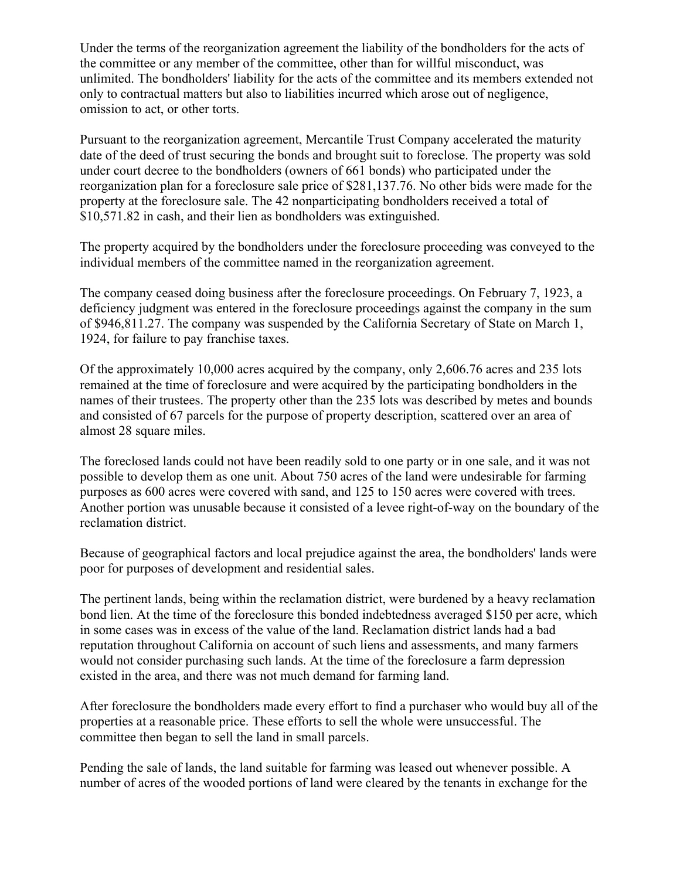Under the terms of the reorganization agreement the liability of the bondholders for the acts of the committee or any member of the committee, other than for willful misconduct, was unlimited. The bondholders' liability for the acts of the committee and its members extended not only to contractual matters but also to liabilities incurred which arose out of negligence, omission to act, or other torts.

Pursuant to the reorganization agreement, Mercantile Trust Company accelerated the maturity date of the deed of trust securing the bonds and brought suit to foreclose. The property was sold under court decree to the bondholders (owners of 661 bonds) who participated under the reorganization plan for a foreclosure sale price of \$281,137.76. No other bids were made for the property at the foreclosure sale. The 42 nonparticipating bondholders received a total of \$10,571.82 in cash, and their lien as bondholders was extinguished.

The property acquired by the bondholders under the foreclosure proceeding was conveyed to the individual members of the committee named in the reorganization agreement.

The company ceased doing business after the foreclosure proceedings. On February 7, 1923, a deficiency judgment was entered in the foreclosure proceedings against the company in the sum of \$946,811.27. The company was suspended by the California Secretary of State on March 1, 1924, for failure to pay franchise taxes.

Of the approximately 10,000 acres acquired by the company, only 2,606.76 acres and 235 lots remained at the time of foreclosure and were acquired by the participating bondholders in the names of their trustees. The property other than the 235 lots was described by metes and bounds and consisted of 67 parcels for the purpose of property description, scattered over an area of almost 28 square miles.

The foreclosed lands could not have been readily sold to one party or in one sale, and it was not possible to develop them as one unit. About 750 acres of the land were undesirable for farming purposes as 600 acres were covered with sand, and 125 to 150 acres were covered with trees. Another portion was unusable because it consisted of a levee right-of-way on the boundary of the reclamation district.

Because of geographical factors and local prejudice against the area, the bondholders' lands were poor for purposes of development and residential sales.

The pertinent lands, being within the reclamation district, were burdened by a heavy reclamation bond lien. At the time of the foreclosure this bonded indebtedness averaged \$150 per acre, which in some cases was in excess of the value of the land. Reclamation district lands had a bad reputation throughout California on account of such liens and assessments, and many farmers would not consider purchasing such lands. At the time of the foreclosure a farm depression existed in the area, and there was not much demand for farming land.

After foreclosure the bondholders made every effort to find a purchaser who would buy all of the properties at a reasonable price. These efforts to sell the whole were unsuccessful. The committee then began to sell the land in small parcels.

Pending the sale of lands, the land suitable for farming was leased out whenever possible. A number of acres of the wooded portions of land were cleared by the tenants in exchange for the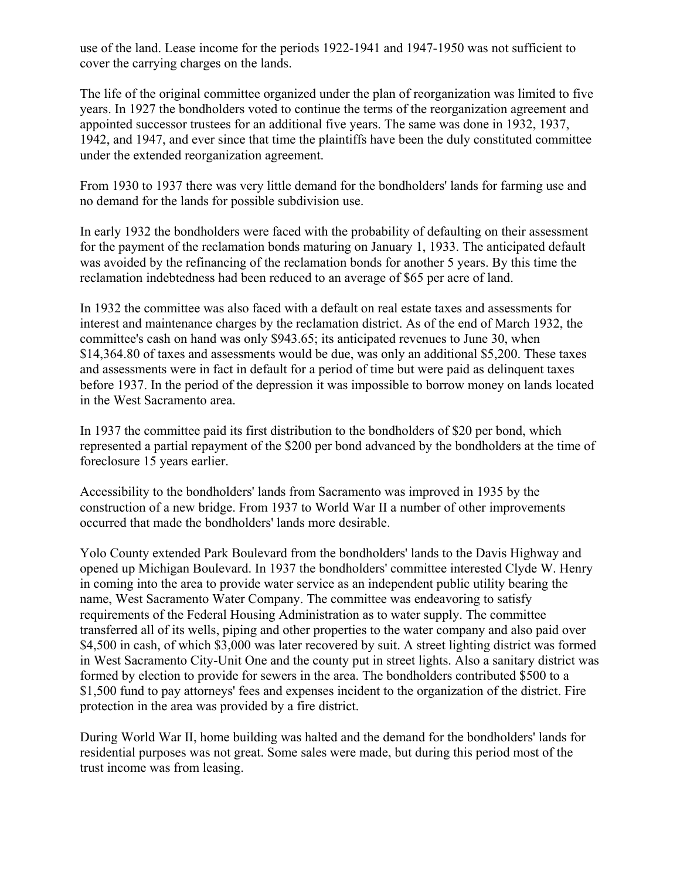use of the land. Lease income for the periods 1922-1941 and 1947-1950 was not sufficient to cover the carrying charges on the lands.

The life of the original committee organized under the plan of reorganization was limited to five years. In 1927 the bondholders voted to continue the terms of the reorganization agreement and appointed successor trustees for an additional five years. The same was done in 1932, 1937, 1942, and 1947, and ever since that time the plaintiffs have been the duly constituted committee under the extended reorganization agreement.

From 1930 to 1937 there was very little demand for the bondholders' lands for farming use and no demand for the lands for possible subdivision use.

In early 1932 the bondholders were faced with the probability of defaulting on their assessment for the payment of the reclamation bonds maturing on January 1, 1933. The anticipated default was avoided by the refinancing of the reclamation bonds for another 5 years. By this time the reclamation indebtedness had been reduced to an average of \$65 per acre of land.

In 1932 the committee was also faced with a default on real estate taxes and assessments for interest and maintenance charges by the reclamation district. As of the end of March 1932, the committee's cash on hand was only \$943.65; its anticipated revenues to June 30, when \$14,364.80 of taxes and assessments would be due, was only an additional \$5,200. These taxes and assessments were in fact in default for a period of time but were paid as delinquent taxes before 1937. In the period of the depression it was impossible to borrow money on lands located in the West Sacramento area.

In 1937 the committee paid its first distribution to the bondholders of \$20 per bond, which represented a partial repayment of the \$200 per bond advanced by the bondholders at the time of foreclosure 15 years earlier.

Accessibility to the bondholders' lands from Sacramento was improved in 1935 by the construction of a new bridge. From 1937 to World War II a number of other improvements occurred that made the bondholders' lands more desirable.

Yolo County extended Park Boulevard from the bondholders' lands to the Davis Highway and opened up Michigan Boulevard. In 1937 the bondholders' committee interested Clyde W. Henry in coming into the area to provide water service as an independent public utility bearing the name, West Sacramento Water Company. The committee was endeavoring to satisfy requirements of the Federal Housing Administration as to water supply. The committee transferred all of its wells, piping and other properties to the water company and also paid over \$4,500 in cash, of which \$3,000 was later recovered by suit. A street lighting district was formed in West Sacramento City-Unit One and the county put in street lights. Also a sanitary district was formed by election to provide for sewers in the area. The bondholders contributed \$500 to a \$1,500 fund to pay attorneys' fees and expenses incident to the organization of the district. Fire protection in the area was provided by a fire district.

During World War II, home building was halted and the demand for the bondholders' lands for residential purposes was not great. Some sales were made, but during this period most of the trust income was from leasing.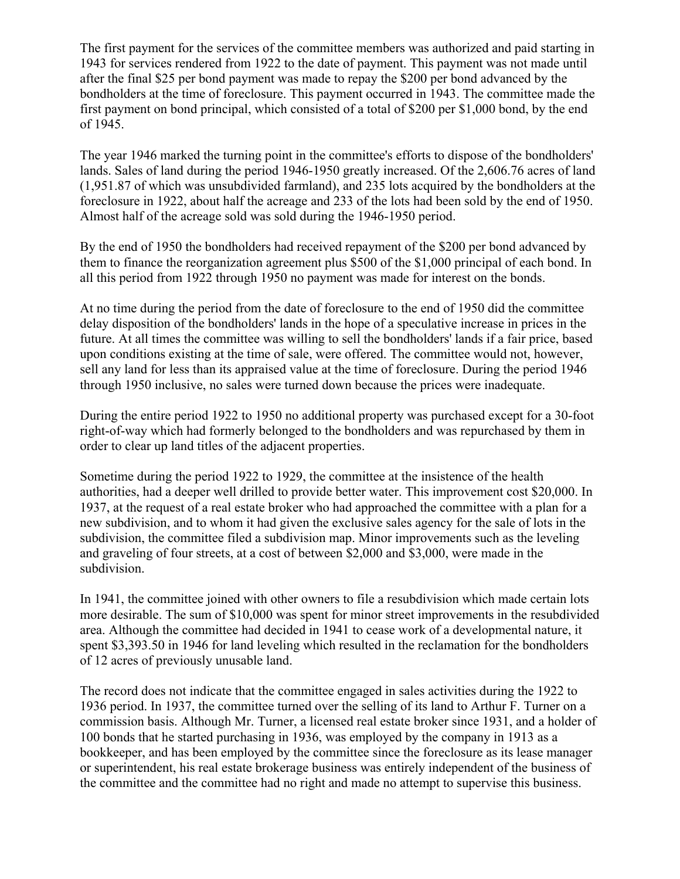The first payment for the services of the committee members was authorized and paid starting in 1943 for services rendered from 1922 to the date of payment. This payment was not made until after the final \$25 per bond payment was made to repay the \$200 per bond advanced by the bondholders at the time of foreclosure. This payment occurred in 1943. The committee made the first payment on bond principal, which consisted of a total of \$200 per \$1,000 bond, by the end of 1945.

The year 1946 marked the turning point in the committee's efforts to dispose of the bondholders' lands. Sales of land during the period 1946-1950 greatly increased. Of the 2,606.76 acres of land (1,951.87 of which was unsubdivided farmland), and 235 lots acquired by the bondholders at the foreclosure in 1922, about half the acreage and 233 of the lots had been sold by the end of 1950. Almost half of the acreage sold was sold during the 1946-1950 period.

By the end of 1950 the bondholders had received repayment of the \$200 per bond advanced by them to finance the reorganization agreement plus \$500 of the \$1,000 principal of each bond. In all this period from 1922 through 1950 no payment was made for interest on the bonds.

At no time during the period from the date of foreclosure to the end of 1950 did the committee delay disposition of the bondholders' lands in the hope of a speculative increase in prices in the future. At all times the committee was willing to sell the bondholders' lands if a fair price, based upon conditions existing at the time of sale, were offered. The committee would not, however, sell any land for less than its appraised value at the time of foreclosure. During the period 1946 through 1950 inclusive, no sales were turned down because the prices were inadequate.

During the entire period 1922 to 1950 no additional property was purchased except for a 30-foot right-of-way which had formerly belonged to the bondholders and was repurchased by them in order to clear up land titles of the adjacent properties.

Sometime during the period 1922 to 1929, the committee at the insistence of the health authorities, had a deeper well drilled to provide better water. This improvement cost \$20,000. In 1937, at the request of a real estate broker who had approached the committee with a plan for a new subdivision, and to whom it had given the exclusive sales agency for the sale of lots in the subdivision, the committee filed a subdivision map. Minor improvements such as the leveling and graveling of four streets, at a cost of between \$2,000 and \$3,000, were made in the subdivision.

In 1941, the committee joined with other owners to file a resubdivision which made certain lots more desirable. The sum of \$10,000 was spent for minor street improvements in the resubdivided area. Although the committee had decided in 1941 to cease work of a developmental nature, it spent \$3,393.50 in 1946 for land leveling which resulted in the reclamation for the bondholders of 12 acres of previously unusable land.

The record does not indicate that the committee engaged in sales activities during the 1922 to 1936 period. In 1937, the committee turned over the selling of its land to Arthur F. Turner on a commission basis. Although Mr. Turner, a licensed real estate broker since 1931, and a holder of 100 bonds that he started purchasing in 1936, was employed by the company in 1913 as a bookkeeper, and has been employed by the committee since the foreclosure as its lease manager or superintendent, his real estate brokerage business was entirely independent of the business of the committee and the committee had no right and made no attempt to supervise this business.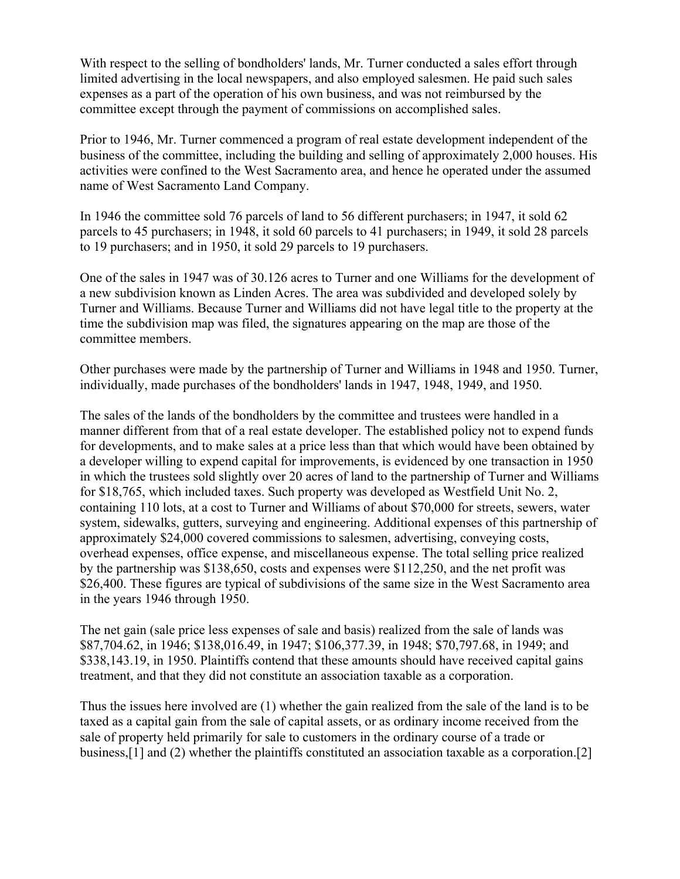With respect to the selling of bondholders' lands, Mr. Turner conducted a sales effort through limited advertising in the local newspapers, and also employed salesmen. He paid such sales expenses as a part of the operation of his own business, and was not reimbursed by the committee except through the payment of commissions on accomplished sales.

Prior to 1946, Mr. Turner commenced a program of real estate development independent of the business of the committee, including the building and selling of approximately 2,000 houses. His activities were confined to the West Sacramento area, and hence he operated under the assumed name of West Sacramento Land Company.

In 1946 the committee sold 76 parcels of land to 56 different purchasers; in 1947, it sold 62 parcels to 45 purchasers; in 1948, it sold 60 parcels to 41 purchasers; in 1949, it sold 28 parcels to 19 purchasers; and in 1950, it sold 29 parcels to 19 purchasers.

One of the sales in 1947 was of 30.126 acres to Turner and one Williams for the development of a new subdivision known as Linden Acres. The area was subdivided and developed solely by Turner and Williams. Because Turner and Williams did not have legal title to the property at the time the subdivision map was filed, the signatures appearing on the map are those of the committee members.

Other purchases were made by the partnership of Turner and Williams in 1948 and 1950. Turner, individually, made purchases of the bondholders' lands in 1947, 1948, 1949, and 1950.

The sales of the lands of the bondholders by the committee and trustees were handled in a manner different from that of a real estate developer. The established policy not to expend funds for developments, and to make sales at a price less than that which would have been obtained by a developer willing to expend capital for improvements, is evidenced by one transaction in 1950 in which the trustees sold slightly over 20 acres of land to the partnership of Turner and Williams for \$18,765, which included taxes. Such property was developed as Westfield Unit No. 2, containing 110 lots, at a cost to Turner and Williams of about \$70,000 for streets, sewers, water system, sidewalks, gutters, surveying and engineering. Additional expenses of this partnership of approximately \$24,000 covered commissions to salesmen, advertising, conveying costs, overhead expenses, office expense, and miscellaneous expense. The total selling price realized by the partnership was \$138,650, costs and expenses were \$112,250, and the net profit was \$26,400. These figures are typical of subdivisions of the same size in the West Sacramento area in the years 1946 through 1950.

The net gain (sale price less expenses of sale and basis) realized from the sale of lands was \$87,704.62, in 1946; \$138,016.49, in 1947; \$106,377.39, in 1948; \$70,797.68, in 1949; and \$338,143.19, in 1950. Plaintiffs contend that these amounts should have received capital gains treatment, and that they did not constitute an association taxable as a corporation.

Thus the issues here involved are (1) whether the gain realized from the sale of the land is to be taxed as a capital gain from the sale of capital assets, or as ordinary income received from the sale of property held primarily for sale to customers in the ordinary course of a trade or business,[1] and (2) whether the plaintiffs constituted an association taxable as a corporation.[2]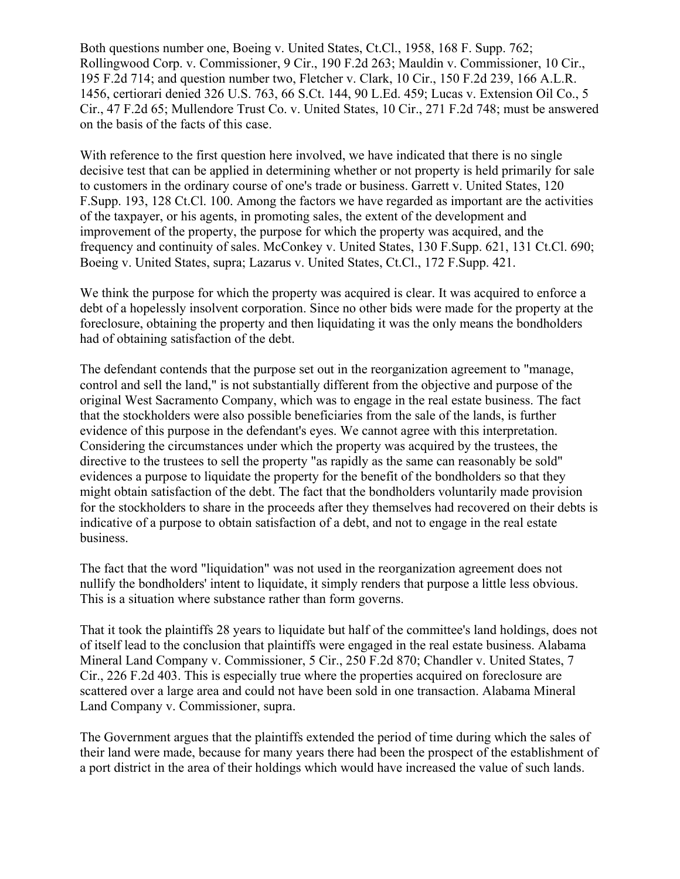Both questions number one, Boeing v. United States, Ct.Cl., 1958, 168 F. Supp. 762; Rollingwood Corp. v. Commissioner, 9 Cir., 190 F.2d 263; Mauldin v. Commissioner, 10 Cir., 195 F.2d 714; and question number two, Fletcher v. Clark, 10 Cir., 150 F.2d 239, 166 A.L.R. 1456, certiorari denied 326 U.S. 763, 66 S.Ct. 144, 90 L.Ed. 459; Lucas v. Extension Oil Co., 5 Cir., 47 F.2d 65; Mullendore Trust Co. v. United States, 10 Cir., 271 F.2d 748; must be answered on the basis of the facts of this case.

With reference to the first question here involved, we have indicated that there is no single decisive test that can be applied in determining whether or not property is held primarily for sale to customers in the ordinary course of one's trade or business. Garrett v. United States, 120 F.Supp. 193, 128 Ct.Cl. 100. Among the factors we have regarded as important are the activities of the taxpayer, or his agents, in promoting sales, the extent of the development and improvement of the property, the purpose for which the property was acquired, and the frequency and continuity of sales. McConkey v. United States, 130 F.Supp. 621, 131 Ct.Cl. 690; Boeing v. United States, supra; Lazarus v. United States, Ct.Cl., 172 F.Supp. 421.

We think the purpose for which the property was acquired is clear. It was acquired to enforce a debt of a hopelessly insolvent corporation. Since no other bids were made for the property at the foreclosure, obtaining the property and then liquidating it was the only means the bondholders had of obtaining satisfaction of the debt.

The defendant contends that the purpose set out in the reorganization agreement to "manage, control and sell the land," is not substantially different from the objective and purpose of the original West Sacramento Company, which was to engage in the real estate business. The fact that the stockholders were also possible beneficiaries from the sale of the lands, is further evidence of this purpose in the defendant's eyes. We cannot agree with this interpretation. Considering the circumstances under which the property was acquired by the trustees, the directive to the trustees to sell the property "as rapidly as the same can reasonably be sold" evidences a purpose to liquidate the property for the benefit of the bondholders so that they might obtain satisfaction of the debt. The fact that the bondholders voluntarily made provision for the stockholders to share in the proceeds after they themselves had recovered on their debts is indicative of a purpose to obtain satisfaction of a debt, and not to engage in the real estate business.

The fact that the word "liquidation" was not used in the reorganization agreement does not nullify the bondholders' intent to liquidate, it simply renders that purpose a little less obvious. This is a situation where substance rather than form governs.

That it took the plaintiffs 28 years to liquidate but half of the committee's land holdings, does not of itself lead to the conclusion that plaintiffs were engaged in the real estate business. Alabama Mineral Land Company v. Commissioner, 5 Cir., 250 F.2d 870; Chandler v. United States, 7 Cir., 226 F.2d 403. This is especially true where the properties acquired on foreclosure are scattered over a large area and could not have been sold in one transaction. Alabama Mineral Land Company v. Commissioner, supra.

The Government argues that the plaintiffs extended the period of time during which the sales of their land were made, because for many years there had been the prospect of the establishment of a port district in the area of their holdings which would have increased the value of such lands.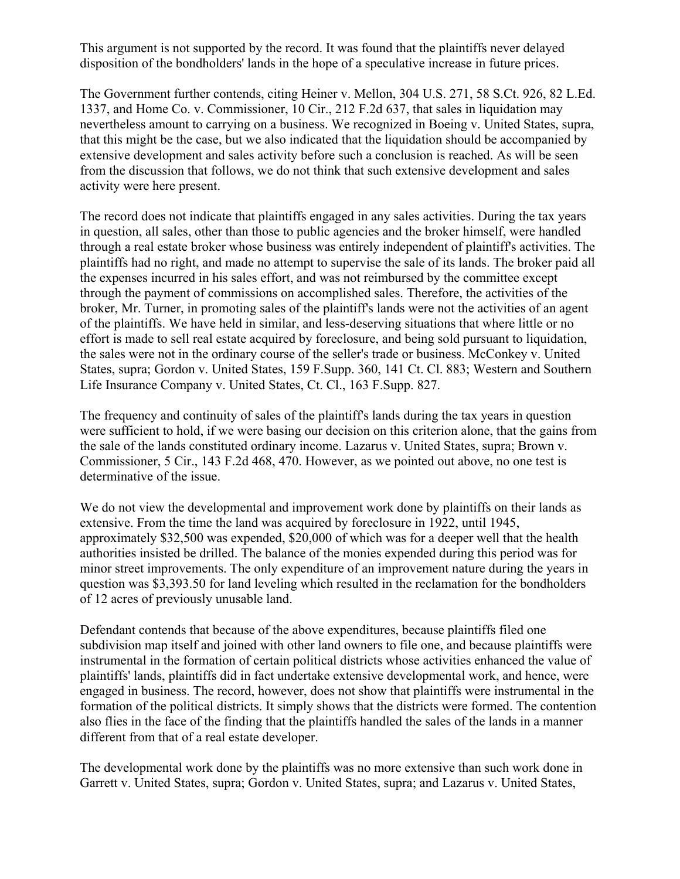This argument is not supported by the record. It was found that the plaintiffs never delayed disposition of the bondholders' lands in the hope of a speculative increase in future prices.

The Government further contends, citing Heiner v. Mellon, 304 U.S. 271, 58 S.Ct. 926, 82 L.Ed. 1337, and Home Co. v. Commissioner, 10 Cir., 212 F.2d 637, that sales in liquidation may nevertheless amount to carrying on a business. We recognized in Boeing v. United States, supra, that this might be the case, but we also indicated that the liquidation should be accompanied by extensive development and sales activity before such a conclusion is reached. As will be seen from the discussion that follows, we do not think that such extensive development and sales activity were here present.

The record does not indicate that plaintiffs engaged in any sales activities. During the tax years in question, all sales, other than those to public agencies and the broker himself, were handled through a real estate broker whose business was entirely independent of plaintiff's activities. The plaintiffs had no right, and made no attempt to supervise the sale of its lands. The broker paid all the expenses incurred in his sales effort, and was not reimbursed by the committee except through the payment of commissions on accomplished sales. Therefore, the activities of the broker, Mr. Turner, in promoting sales of the plaintiff's lands were not the activities of an agent of the plaintiffs. We have held in similar, and less-deserving situations that where little or no effort is made to sell real estate acquired by foreclosure, and being sold pursuant to liquidation, the sales were not in the ordinary course of the seller's trade or business. McConkey v. United States, supra; Gordon v. United States, 159 F.Supp. 360, 141 Ct. Cl. 883; Western and Southern Life Insurance Company v. United States, Ct. Cl., 163 F.Supp. 827.

The frequency and continuity of sales of the plaintiff's lands during the tax years in question were sufficient to hold, if we were basing our decision on this criterion alone, that the gains from the sale of the lands constituted ordinary income. Lazarus v. United States, supra; Brown v. Commissioner, 5 Cir., 143 F.2d 468, 470. However, as we pointed out above, no one test is determinative of the issue.

We do not view the developmental and improvement work done by plaintiffs on their lands as extensive. From the time the land was acquired by foreclosure in 1922, until 1945, approximately \$32,500 was expended, \$20,000 of which was for a deeper well that the health authorities insisted be drilled. The balance of the monies expended during this period was for minor street improvements. The only expenditure of an improvement nature during the years in question was \$3,393.50 for land leveling which resulted in the reclamation for the bondholders of 12 acres of previously unusable land.

Defendant contends that because of the above expenditures, because plaintiffs filed one subdivision map itself and joined with other land owners to file one, and because plaintiffs were instrumental in the formation of certain political districts whose activities enhanced the value of plaintiffs' lands, plaintiffs did in fact undertake extensive developmental work, and hence, were engaged in business. The record, however, does not show that plaintiffs were instrumental in the formation of the political districts. It simply shows that the districts were formed. The contention also flies in the face of the finding that the plaintiffs handled the sales of the lands in a manner different from that of a real estate developer.

The developmental work done by the plaintiffs was no more extensive than such work done in Garrett v. United States, supra; Gordon v. United States, supra; and Lazarus v. United States,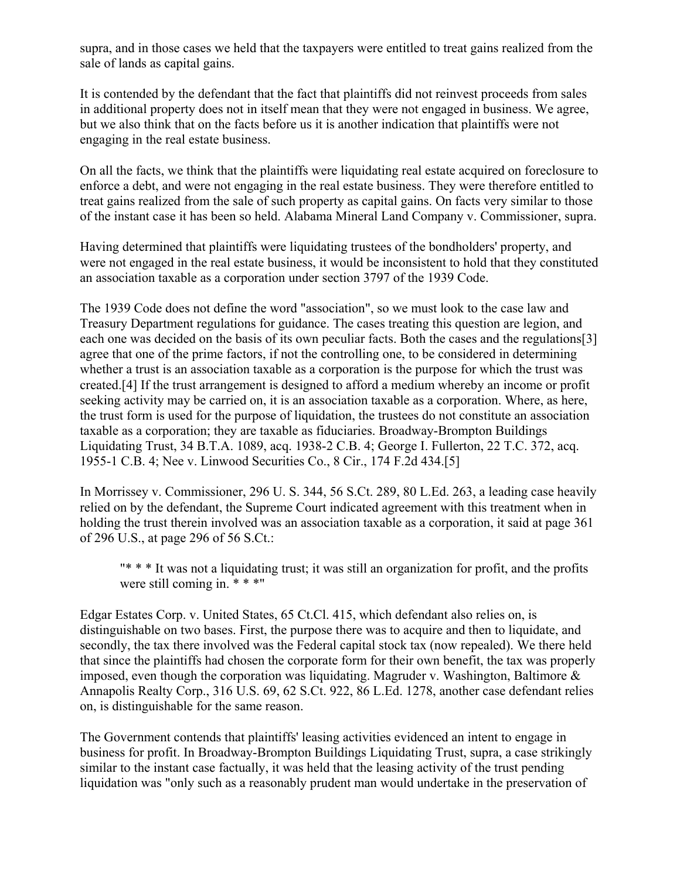supra, and in those cases we held that the taxpayers were entitled to treat gains realized from the sale of lands as capital gains.

It is contended by the defendant that the fact that plaintiffs did not reinvest proceeds from sales in additional property does not in itself mean that they were not engaged in business. We agree, but we also think that on the facts before us it is another indication that plaintiffs were not engaging in the real estate business.

On all the facts, we think that the plaintiffs were liquidating real estate acquired on foreclosure to enforce a debt, and were not engaging in the real estate business. They were therefore entitled to treat gains realized from the sale of such property as capital gains. On facts very similar to those of the instant case it has been so held. Alabama Mineral Land Company v. Commissioner, supra.

Having determined that plaintiffs were liquidating trustees of the bondholders' property, and were not engaged in the real estate business, it would be inconsistent to hold that they constituted an association taxable as a corporation under section 3797 of the 1939 Code.

The 1939 Code does not define the word "association", so we must look to the case law and Treasury Department regulations for guidance. The cases treating this question are legion, and each one was decided on the basis of its own peculiar facts. Both the cases and the regulations[3] agree that one of the prime factors, if not the controlling one, to be considered in determining whether a trust is an association taxable as a corporation is the purpose for which the trust was created.[4] If the trust arrangement is designed to afford a medium whereby an income or profit seeking activity may be carried on, it is an association taxable as a corporation. Where, as here, the trust form is used for the purpose of liquidation, the trustees do not constitute an association taxable as a corporation; they are taxable as fiduciaries. Broadway-Brompton Buildings Liquidating Trust, 34 B.T.A. 1089, acq. 1938-2 C.B. 4; George I. Fullerton, 22 T.C. 372, acq. 1955-1 C.B. 4; Nee v. Linwood Securities Co., 8 Cir., 174 F.2d 434.[5]

In Morrissey v. Commissioner, 296 U. S. 344, 56 S.Ct. 289, 80 L.Ed. 263, a leading case heavily relied on by the defendant, the Supreme Court indicated agreement with this treatment when in holding the trust therein involved was an association taxable as a corporation, it said at page 361 of 296 U.S., at page 296 of 56 S.Ct.:

"\* \* \* It was not a liquidating trust; it was still an organization for profit, and the profits were still coming in. \* \* \*"

Edgar Estates Corp. v. United States, 65 Ct.Cl. 415, which defendant also relies on, is distinguishable on two bases. First, the purpose there was to acquire and then to liquidate, and secondly, the tax there involved was the Federal capital stock tax (now repealed). We there held that since the plaintiffs had chosen the corporate form for their own benefit, the tax was properly imposed, even though the corporation was liquidating. Magruder v. Washington, Baltimore & Annapolis Realty Corp., 316 U.S. 69, 62 S.Ct. 922, 86 L.Ed. 1278, another case defendant relies on, is distinguishable for the same reason.

The Government contends that plaintiffs' leasing activities evidenced an intent to engage in business for profit. In Broadway-Brompton Buildings Liquidating Trust, supra, a case strikingly similar to the instant case factually, it was held that the leasing activity of the trust pending liquidation was "only such as a reasonably prudent man would undertake in the preservation of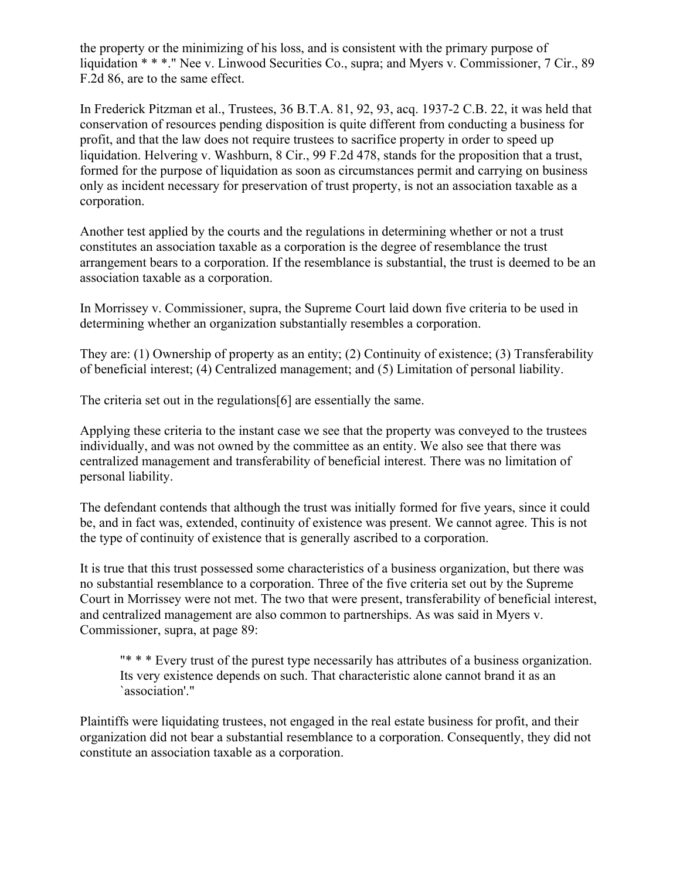the property or the minimizing of his loss, and is consistent with the primary purpose of liquidation \* \* \*." Nee v. Linwood Securities Co., supra; and Myers v. Commissioner, 7 Cir., 89 F.2d 86, are to the same effect.

In Frederick Pitzman et al., Trustees, 36 B.T.A. 81, 92, 93, acq. 1937-2 C.B. 22, it was held that conservation of resources pending disposition is quite different from conducting a business for profit, and that the law does not require trustees to sacrifice property in order to speed up liquidation. Helvering v. Washburn, 8 Cir., 99 F.2d 478, stands for the proposition that a trust, formed for the purpose of liquidation as soon as circumstances permit and carrying on business only as incident necessary for preservation of trust property, is not an association taxable as a corporation.

Another test applied by the courts and the regulations in determining whether or not a trust constitutes an association taxable as a corporation is the degree of resemblance the trust arrangement bears to a corporation. If the resemblance is substantial, the trust is deemed to be an association taxable as a corporation.

In Morrissey v. Commissioner, supra, the Supreme Court laid down five criteria to be used in determining whether an organization substantially resembles a corporation.

They are: (1) Ownership of property as an entity; (2) Continuity of existence; (3) Transferability of beneficial interest; (4) Centralized management; and (5) Limitation of personal liability.

The criteria set out in the regulations[6] are essentially the same.

Applying these criteria to the instant case we see that the property was conveyed to the trustees individually, and was not owned by the committee as an entity. We also see that there was centralized management and transferability of beneficial interest. There was no limitation of personal liability.

The defendant contends that although the trust was initially formed for five years, since it could be, and in fact was, extended, continuity of existence was present. We cannot agree. This is not the type of continuity of existence that is generally ascribed to a corporation.

It is true that this trust possessed some characteristics of a business organization, but there was no substantial resemblance to a corporation. Three of the five criteria set out by the Supreme Court in Morrissey were not met. The two that were present, transferability of beneficial interest, and centralized management are also common to partnerships. As was said in Myers v. Commissioner, supra, at page 89:

"\* \* \* Every trust of the purest type necessarily has attributes of a business organization. Its very existence depends on such. That characteristic alone cannot brand it as an `association'."

Plaintiffs were liquidating trustees, not engaged in the real estate business for profit, and their organization did not bear a substantial resemblance to a corporation. Consequently, they did not constitute an association taxable as a corporation.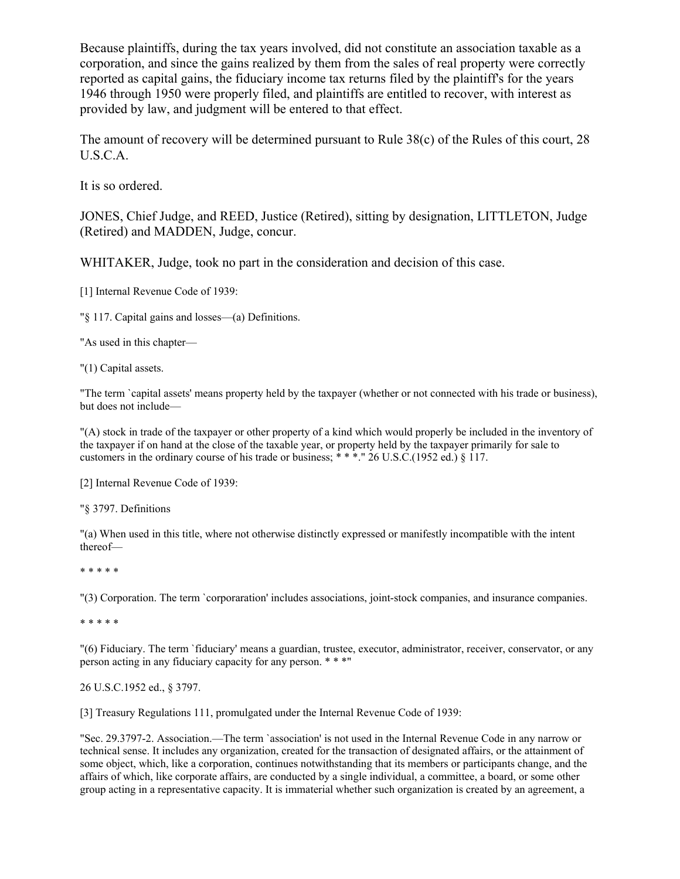Because plaintiffs, during the tax years involved, did not constitute an association taxable as a corporation, and since the gains realized by them from the sales of real property were correctly reported as capital gains, the fiduciary income tax returns filed by the plaintiff's for the years 1946 through 1950 were properly filed, and plaintiffs are entitled to recover, with interest as provided by law, and judgment will be entered to that effect.

The amount of recovery will be determined pursuant to Rule 38(c) of the Rules of this court, 28 U.S.C.A.

It is so ordered.

JONES, Chief Judge, and REED, Justice (Retired), sitting by designation, LITTLETON, Judge (Retired) and MADDEN, Judge, concur.

WHITAKER, Judge, took no part in the consideration and decision of this case.

[1] Internal Revenue Code of 1939:

"§ 117. Capital gains and losses—(a) Definitions.

"As used in this chapter—

"(1) Capital assets.

"The term `capital assets' means property held by the taxpayer (whether or not connected with his trade or business), but does not include—

"(A) stock in trade of the taxpayer or other property of a kind which would properly be included in the inventory of the taxpayer if on hand at the close of the taxable year, or property held by the taxpayer primarily for sale to customers in the ordinary course of his trade or business; \* \* \*." 26 U.S.C.(1952 ed.) § 117.

[2] Internal Revenue Code of 1939:

"§ 3797. Definitions

"(a) When used in this title, where not otherwise distinctly expressed or manifestly incompatible with the intent thereof—

\* \* \* \* \*

"(3) Corporation. The term `corporaration' includes associations, joint-stock companies, and insurance companies.

\* \* \* \* \*

"(6) Fiduciary. The term `fiduciary' means a guardian, trustee, executor, administrator, receiver, conservator, or any person acting in any fiduciary capacity for any person. \* \* \*"

26 U.S.C.1952 ed., § 3797.

[3] Treasury Regulations 111, promulgated under the Internal Revenue Code of 1939:

"Sec. 29.3797-2. Association.—The term `association' is not used in the Internal Revenue Code in any narrow or technical sense. It includes any organization, created for the transaction of designated affairs, or the attainment of some object, which, like a corporation, continues notwithstanding that its members or participants change, and the affairs of which, like corporate affairs, are conducted by a single individual, a committee, a board, or some other group acting in a representative capacity. It is immaterial whether such organization is created by an agreement, a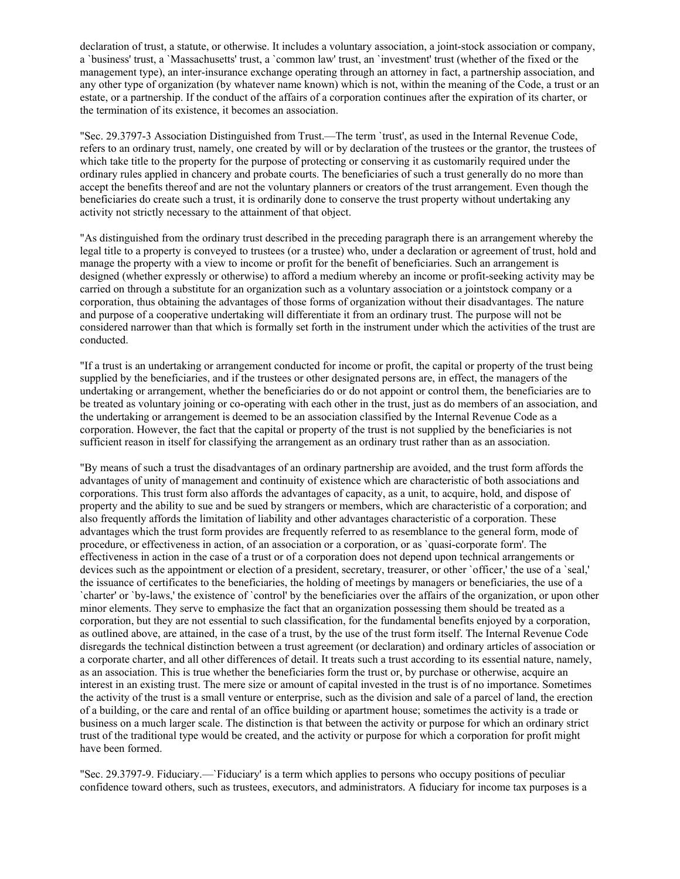declaration of trust, a statute, or otherwise. It includes a voluntary association, a joint-stock association or company, a `business' trust, a `Massachusetts' trust, a `common law' trust, an `investment' trust (whether of the fixed or the management type), an inter-insurance exchange operating through an attorney in fact, a partnership association, and any other type of organization (by whatever name known) which is not, within the meaning of the Code, a trust or an estate, or a partnership. If the conduct of the affairs of a corporation continues after the expiration of its charter, or the termination of its existence, it becomes an association.

"Sec. 29.3797-3 Association Distinguished from Trust.—The term `trust', as used in the Internal Revenue Code, refers to an ordinary trust, namely, one created by will or by declaration of the trustees or the grantor, the trustees of which take title to the property for the purpose of protecting or conserving it as customarily required under the ordinary rules applied in chancery and probate courts. The beneficiaries of such a trust generally do no more than accept the benefits thereof and are not the voluntary planners or creators of the trust arrangement. Even though the beneficiaries do create such a trust, it is ordinarily done to conserve the trust property without undertaking any activity not strictly necessary to the attainment of that object.

"As distinguished from the ordinary trust described in the preceding paragraph there is an arrangement whereby the legal title to a property is conveyed to trustees (or a trustee) who, under a declaration or agreement of trust, hold and manage the property with a view to income or profit for the benefit of beneficiaries. Such an arrangement is designed (whether expressly or otherwise) to afford a medium whereby an income or profit-seeking activity may be carried on through a substitute for an organization such as a voluntary association or a jointstock company or a corporation, thus obtaining the advantages of those forms of organization without their disadvantages. The nature and purpose of a cooperative undertaking will differentiate it from an ordinary trust. The purpose will not be considered narrower than that which is formally set forth in the instrument under which the activities of the trust are conducted.

"If a trust is an undertaking or arrangement conducted for income or profit, the capital or property of the trust being supplied by the beneficiaries, and if the trustees or other designated persons are, in effect, the managers of the undertaking or arrangement, whether the beneficiaries do or do not appoint or control them, the beneficiaries are to be treated as voluntary joining or co-operating with each other in the trust, just as do members of an association, and the undertaking or arrangement is deemed to be an association classified by the Internal Revenue Code as a corporation. However, the fact that the capital or property of the trust is not supplied by the beneficiaries is not sufficient reason in itself for classifying the arrangement as an ordinary trust rather than as an association.

"By means of such a trust the disadvantages of an ordinary partnership are avoided, and the trust form affords the advantages of unity of management and continuity of existence which are characteristic of both associations and corporations. This trust form also affords the advantages of capacity, as a unit, to acquire, hold, and dispose of property and the ability to sue and be sued by strangers or members, which are characteristic of a corporation; and also frequently affords the limitation of liability and other advantages characteristic of a corporation. These advantages which the trust form provides are frequently referred to as resemblance to the general form, mode of procedure, or effectiveness in action, of an association or a corporation, or as `quasi-corporate form'. The effectiveness in action in the case of a trust or of a corporation does not depend upon technical arrangements or devices such as the appointment or election of a president, secretary, treasurer, or other `officer,' the use of a `seal,' the issuance of certificates to the beneficiaries, the holding of meetings by managers or beneficiaries, the use of a `charter' or `by-laws,' the existence of `control' by the beneficiaries over the affairs of the organization, or upon other minor elements. They serve to emphasize the fact that an organization possessing them should be treated as a corporation, but they are not essential to such classification, for the fundamental benefits enjoyed by a corporation, as outlined above, are attained, in the case of a trust, by the use of the trust form itself. The Internal Revenue Code disregards the technical distinction between a trust agreement (or declaration) and ordinary articles of association or a corporate charter, and all other differences of detail. It treats such a trust according to its essential nature, namely, as an association. This is true whether the beneficiaries form the trust or, by purchase or otherwise, acquire an interest in an existing trust. The mere size or amount of capital invested in the trust is of no importance. Sometimes the activity of the trust is a small venture or enterprise, such as the division and sale of a parcel of land, the erection of a building, or the care and rental of an office building or apartment house; sometimes the activity is a trade or business on a much larger scale. The distinction is that between the activity or purpose for which an ordinary strict trust of the traditional type would be created, and the activity or purpose for which a corporation for profit might have been formed.

"Sec. 29.3797-9. Fiduciary.—`Fiduciary' is a term which applies to persons who occupy positions of peculiar confidence toward others, such as trustees, executors, and administrators. A fiduciary for income tax purposes is a